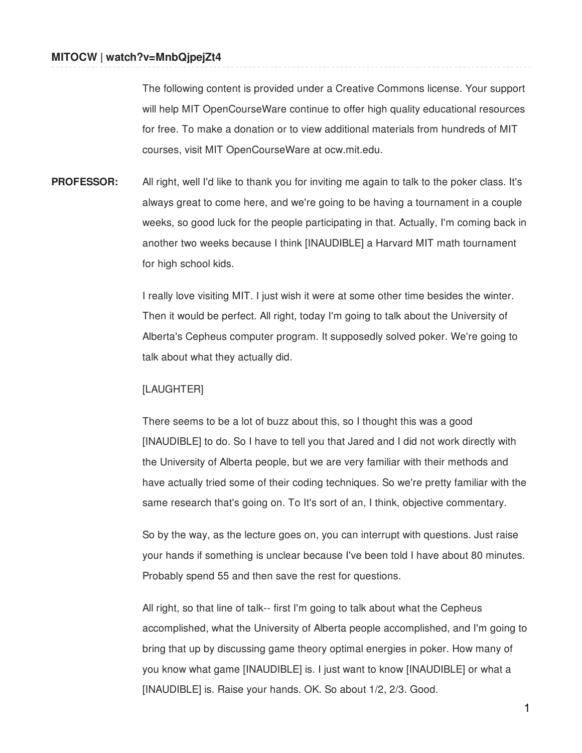The following content is provided under a Creative Commons license. Your support will help MIT OpenCourseWare continue to offer high quality educational resources for free. To make a donation or to view additional materials from hundreds of MIT courses, visit MIT OpenCourseWare at ocw.mit.edu.

**PROFESSOR:** All right, well I'd like to thank you for inviting me again to talk to the poker class. It's always great to come here, and we're going to be having a tournament in a couple weeks, so good luck for the people participating in that. Actually, I'm coming back in another two weeks because I think [INAUDIBLE] a Harvard MIT math tournament for high school kids.

> I really love visiting MIT. I just wish it were at some other time besides the winter. Then it would be perfect. All right, today I'm going to talk about the University of Alberta's Cepheus computer program. It supposedly solved poker. We're going to talk about what they actually did.

## [LAUGHTER]

There seems to be a lot of buzz about this, so I thought this was a good [INAUDIBLE] to do. So I have to tell you that Jared and I did not work directly with the University of Alberta people, but we are very familiar with their methods and have actually tried some of their coding techniques. So we're pretty familiar with the same research that's going on. To It's sort of an, I think, objective commentary.

So by the way, as the lecture goes on, you can interrupt with questions. Just raise your hands if something is unclear because I've been told I have about 80 minutes. Probably spend 55 and then save the rest for questions.

All right, so that line of talk-- first I'm going to talk about what the Cepheus accomplished, what the University of Alberta people accomplished, and I'm going to bring that up by discussing game theory optimal energies in poker. How many of you know what game [INAUDIBLE] is. I just want to know [INAUDIBLE] or what a [INAUDIBLE] is. Raise your hands. OK. So about 1/2, 2/3. Good.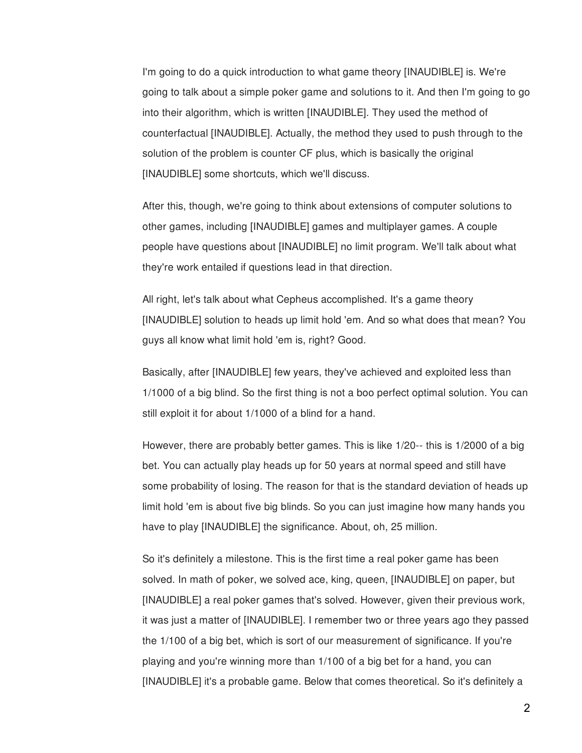I'm going to do a quick introduction to what game theory [INAUDIBLE] is. We're going to talk about a simple poker game and solutions to it. And then I'm going to go into their algorithm, which is written [INAUDIBLE]. They used the method of counterfactual [INAUDIBLE]. Actually, the method they used to push through to the solution of the problem is counter CF plus, which is basically the original [INAUDIBLE] some shortcuts, which we'll discuss.

After this, though, we're going to think about extensions of computer solutions to other games, including [INAUDIBLE] games and multiplayer games. A couple people have questions about [INAUDIBLE] no limit program. We'll talk about what they're work entailed if questions lead in that direction.

All right, let's talk about what Cepheus accomplished. It's a game theory [INAUDIBLE] solution to heads up limit hold 'em. And so what does that mean? You guys all know what limit hold 'em is, right? Good.

Basically, after [INAUDIBLE] few years, they've achieved and exploited less than 1/1000 of a big blind. So the first thing is not a boo perfect optimal solution. You can still exploit it for about 1/1000 of a blind for a hand.

However, there are probably better games. This is like 1/20-- this is 1/2000 of a big bet. You can actually play heads up for 50 years at normal speed and still have some probability of losing. The reason for that is the standard deviation of heads up limit hold 'em is about five big blinds. So you can just imagine how many hands you have to play [INAUDIBLE] the significance. About, oh, 25 million.

So it's definitely a milestone. This is the first time a real poker game has been solved. In math of poker, we solved ace, king, queen, [INAUDIBLE] on paper, but [INAUDIBLE] a real poker games that's solved. However, given their previous work, it was just a matter of [INAUDIBLE]. I remember two or three years ago they passed the 1/100 of a big bet, which is sort of our measurement of significance. If you're playing and you're winning more than 1/100 of a big bet for a hand, you can [INAUDIBLE] it's a probable game. Below that comes theoretical. So it's definitely a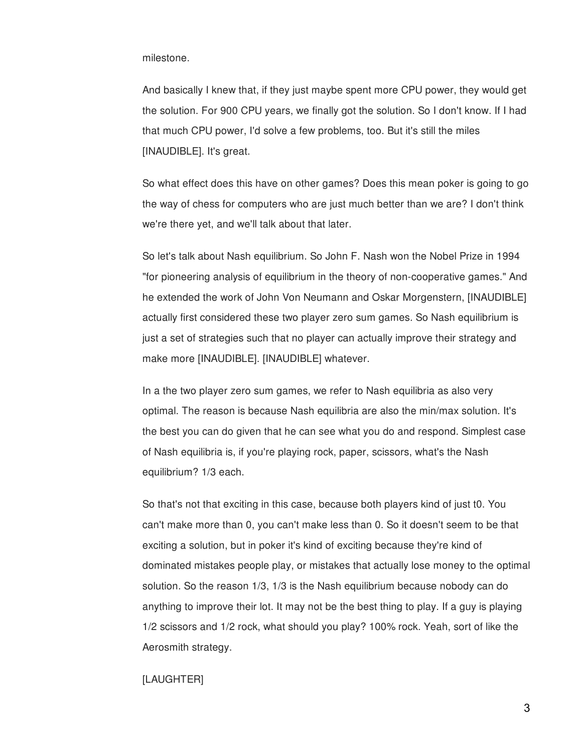milestone.

And basically I knew that, if they just maybe spent more CPU power, they would get the solution. For 900 CPU years, we finally got the solution. So I don't know. If I had that much CPU power, I'd solve a few problems, too. But it's still the miles [INAUDIBLE]. It's great.

So what effect does this have on other games? Does this mean poker is going to go the way of chess for computers who are just much better than we are? I don't think we're there yet, and we'll talk about that later.

So let's talk about Nash equilibrium. So John F. Nash won the Nobel Prize in 1994 "for pioneering analysis of equilibrium in the theory of non-cooperative games." And he extended the work of John Von Neumann and Oskar Morgenstern, [INAUDIBLE] actually first considered these two player zero sum games. So Nash equilibrium is just a set of strategies such that no player can actually improve their strategy and make more [INAUDIBLE]. [INAUDIBLE] whatever.

In a the two player zero sum games, we refer to Nash equilibria as also very optimal. The reason is because Nash equilibria are also the min/max solution. It's the best you can do given that he can see what you do and respond. Simplest case of Nash equilibria is, if you're playing rock, paper, scissors, what's the Nash equilibrium? 1/3 each.

So that's not that exciting in this case, because both players kind of just t0. You can't make more than 0, you can't make less than 0. So it doesn't seem to be that exciting a solution, but in poker it's kind of exciting because they're kind of dominated mistakes people play, or mistakes that actually lose money to the optimal solution. So the reason 1/3, 1/3 is the Nash equilibrium because nobody can do anything to improve their lot. It may not be the best thing to play. If a guy is playing 1/2 scissors and 1/2 rock, what should you play? 100% rock. Yeah, sort of like the Aerosmith strategy.

## [LAUGHTER]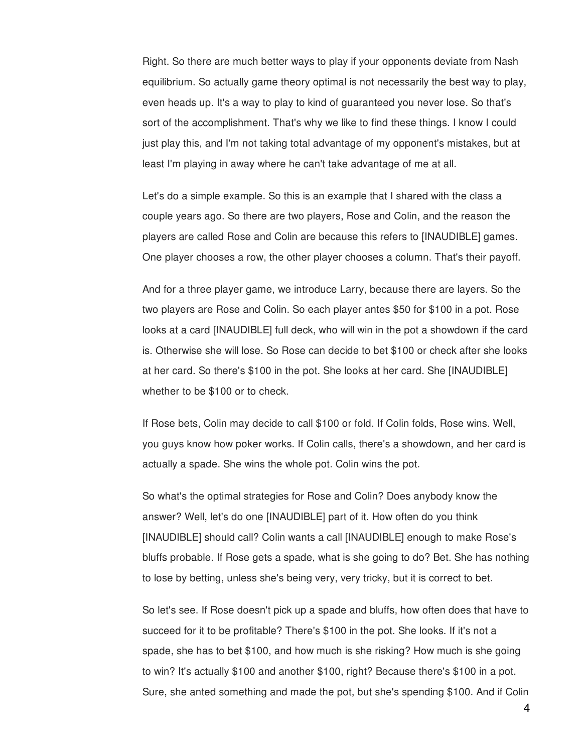Right. So there are much better ways to play if your opponents deviate from Nash equilibrium. So actually game theory optimal is not necessarily the best way to play, even heads up. It's a way to play to kind of guaranteed you never lose. So that's sort of the accomplishment. That's why we like to find these things. I know I could just play this, and I'm not taking total advantage of my opponent's mistakes, but at least I'm playing in away where he can't take advantage of me at all.

Let's do a simple example. So this is an example that I shared with the class a couple years ago. So there are two players, Rose and Colin, and the reason the players are called Rose and Colin are because this refers to [INAUDIBLE] games. One player chooses a row, the other player chooses a column. That's their payoff.

And for a three player game, we introduce Larry, because there are layers. So the two players are Rose and Colin. So each player antes \$50 for \$100 in a pot. Rose looks at a card [INAUDIBLE] full deck, who will win in the pot a showdown if the card is. Otherwise she will lose. So Rose can decide to bet \$100 or check after she looks at her card. So there's \$100 in the pot. She looks at her card. She [INAUDIBLE] whether to be \$100 or to check.

If Rose bets, Colin may decide to call \$100 or fold. If Colin folds, Rose wins. Well, you guys know how poker works. If Colin calls, there's a showdown, and her card is actually a spade. She wins the whole pot. Colin wins the pot.

So what's the optimal strategies for Rose and Colin? Does anybody know the answer? Well, let's do one [INAUDIBLE] part of it. How often do you think [INAUDIBLE] should call? Colin wants a call [INAUDIBLE] enough to make Rose's bluffs probable. If Rose gets a spade, what is she going to do? Bet. She has nothing to lose by betting, unless she's being very, very tricky, but it is correct to bet.

So let's see. If Rose doesn't pick up a spade and bluffs, how often does that have to succeed for it to be profitable? There's \$100 in the pot. She looks. If it's not a spade, she has to bet \$100, and how much is she risking? How much is she going to win? It's actually \$100 and another \$100, right? Because there's \$100 in a pot. Sure, she anted something and made the pot, but she's spending \$100. And if Colin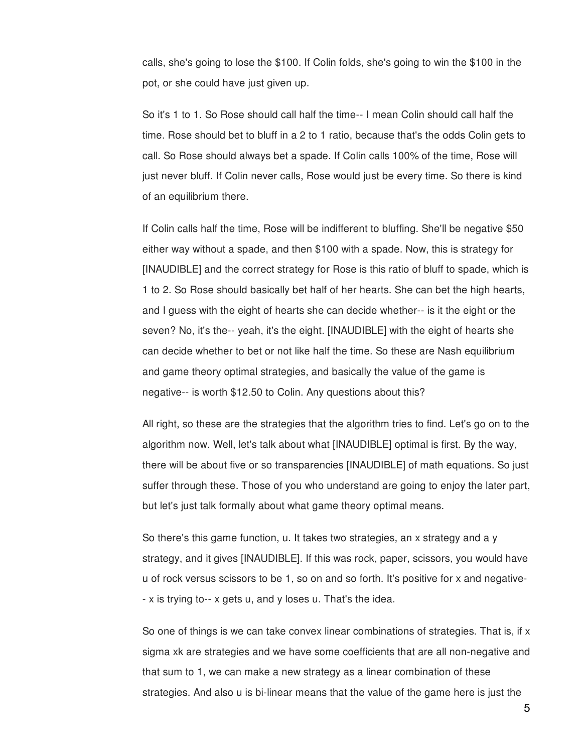calls, she's going to lose the \$100. If Colin folds, she's going to win the \$100 in the pot, or she could have just given up.

So it's 1 to 1. So Rose should call half the time-- I mean Colin should call half the time. Rose should bet to bluff in a 2 to 1 ratio, because that's the odds Colin gets to call. So Rose should always bet a spade. If Colin calls 100% of the time, Rose will just never bluff. If Colin never calls, Rose would just be every time. So there is kind of an equilibrium there.

If Colin calls half the time, Rose will be indifferent to bluffing. She'll be negative \$50 either way without a spade, and then \$100 with a spade. Now, this is strategy for [INAUDIBLE] and the correct strategy for Rose is this ratio of bluff to spade, which is 1 to 2. So Rose should basically bet half of her hearts. She can bet the high hearts, and I guess with the eight of hearts she can decide whether-- is it the eight or the seven? No, it's the-- yeah, it's the eight. [INAUDIBLE] with the eight of hearts she can decide whether to bet or not like half the time. So these are Nash equilibrium and game theory optimal strategies, and basically the value of the game is negative-- is worth \$12.50 to Colin. Any questions about this?

All right, so these are the strategies that the algorithm tries to find. Let's go on to the algorithm now. Well, let's talk about what [INAUDIBLE] optimal is first. By the way, there will be about five or so transparencies [INAUDIBLE] of math equations. So just suffer through these. Those of you who understand are going to enjoy the later part, but let's just talk formally about what game theory optimal means.

So there's this game function, u. It takes two strategies, an x strategy and a y strategy, and it gives [INAUDIBLE]. If this was rock, paper, scissors, you would have u of rock versus scissors to be 1, so on and so forth. It's positive for x and negative- - x is trying to-- x gets u, and y loses u. That's the idea.

So one of things is we can take convex linear combinations of strategies. That is, if  $x$ sigma xk are strategies and we have some coefficients that are all non-negative and that sum to 1, we can make a new strategy as a linear combination of these strategies. And also u is bi-linear means that the value of the game here is just the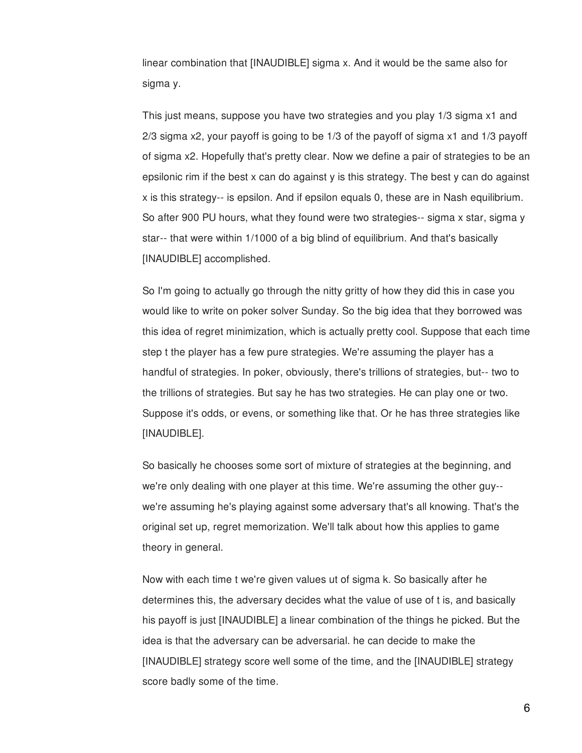linear combination that [INAUDIBLE] sigma x. And it would be the same also for sigma y.

This just means, suppose you have two strategies and you play 1/3 sigma x1 and 2/3 sigma x2, your payoff is going to be 1/3 of the payoff of sigma x1 and 1/3 payoff of sigma x2. Hopefully that's pretty clear. Now we define a pair of strategies to be an epsilonic rim if the best x can do against y is this strategy. The best y can do against x is this strategy-- is epsilon. And if epsilon equals 0, these are in Nash equilibrium. So after 900 PU hours, what they found were two strategies-- sigma x star, sigma y star-- that were within 1/1000 of a big blind of equilibrium. And that's basically [INAUDIBLE] accomplished.

So I'm going to actually go through the nitty gritty of how they did this in case you would like to write on poker solver Sunday. So the big idea that they borrowed was this idea of regret minimization, which is actually pretty cool. Suppose that each time step t the player has a few pure strategies. We're assuming the player has a handful of strategies. In poker, obviously, there's trillions of strategies, but-- two to the trillions of strategies. But say he has two strategies. He can play one or two. Suppose it's odds, or evens, or something like that. Or he has three strategies like [INAUDIBLE].

So basically he chooses some sort of mixture of strategies at the beginning, and we're only dealing with one player at this time. We're assuming the other guy- we're assuming he's playing against some adversary that's all knowing. That's the original set up, regret memorization. We'll talk about how this applies to game theory in general.

Now with each time t we're given values ut of sigma k. So basically after he determines this, the adversary decides what the value of use of t is, and basically his payoff is just [INAUDIBLE] a linear combination of the things he picked. But the idea is that the adversary can be adversarial. he can decide to make the [INAUDIBLE] strategy score well some of the time, and the [INAUDIBLE] strategy score badly some of the time.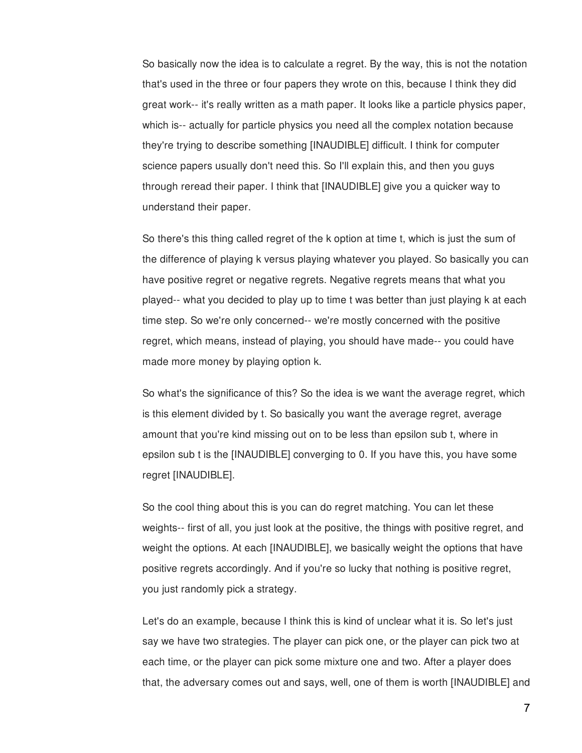So basically now the idea is to calculate a regret. By the way, this is not the notation that's used in the three or four papers they wrote on this, because I think they did great work-- it's really written as a math paper. It looks like a particle physics paper, which is-- actually for particle physics you need all the complex notation because they're trying to describe something [INAUDIBLE] difficult. I think for computer science papers usually don't need this. So I'll explain this, and then you guys through reread their paper. I think that [INAUDIBLE] give you a quicker way to understand their paper.

So there's this thing called regret of the k option at time t, which is just the sum of the difference of playing k versus playing whatever you played. So basically you can have positive regret or negative regrets. Negative regrets means that what you played-- what you decided to play up to time t was better than just playing k at each time step. So we're only concerned-- we're mostly concerned with the positive regret, which means, instead of playing, you should have made-- you could have made more money by playing option k.

So what's the significance of this? So the idea is we want the average regret, which is this element divided by t. So basically you want the average regret, average amount that you're kind missing out on to be less than epsilon sub t, where in epsilon sub t is the [INAUDIBLE] converging to 0. If you have this, you have some regret [INAUDIBLE].

So the cool thing about this is you can do regret matching. You can let these weights-- first of all, you just look at the positive, the things with positive regret, and weight the options. At each [INAUDIBLE], we basically weight the options that have positive regrets accordingly. And if you're so lucky that nothing is positive regret, you just randomly pick a strategy.

Let's do an example, because I think this is kind of unclear what it is. So let's just say we have two strategies. The player can pick one, or the player can pick two at each time, or the player can pick some mixture one and two. After a player does that, the adversary comes out and says, well, one of them is worth [INAUDIBLE] and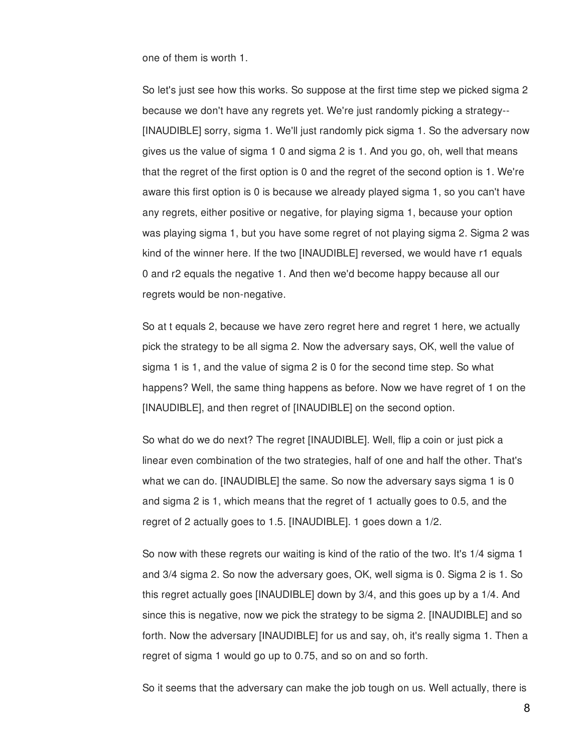one of them is worth 1.

So let's just see how this works. So suppose at the first time step we picked sigma 2 because we don't have any regrets yet. We're just randomly picking a strategy-- [INAUDIBLE] sorry, sigma 1. We'll just randomly pick sigma 1. So the adversary now gives us the value of sigma 1 0 and sigma 2 is 1. And you go, oh, well that means that the regret of the first option is 0 and the regret of the second option is 1. We're aware this first option is 0 is because we already played sigma 1, so you can't have any regrets, either positive or negative, for playing sigma 1, because your option was playing sigma 1, but you have some regret of not playing sigma 2. Sigma 2 was kind of the winner here. If the two [INAUDIBLE] reversed, we would have r1 equals 0 and r2 equals the negative 1. And then we'd become happy because all our regrets would be non-negative.

So at t equals 2, because we have zero regret here and regret 1 here, we actually pick the strategy to be all sigma 2. Now the adversary says, OK, well the value of sigma 1 is 1, and the value of sigma 2 is 0 for the second time step. So what happens? Well, the same thing happens as before. Now we have regret of 1 on the [INAUDIBLE], and then regret of [INAUDIBLE] on the second option.

So what do we do next? The regret [INAUDIBLE]. Well, flip a coin or just pick a linear even combination of the two strategies, half of one and half the other. That's what we can do. [INAUDIBLE] the same. So now the adversary says sigma 1 is 0 and sigma 2 is 1, which means that the regret of 1 actually goes to 0.5, and the regret of 2 actually goes to 1.5. [INAUDIBLE]. 1 goes down a 1/2.

So now with these regrets our waiting is kind of the ratio of the two. It's 1/4 sigma 1 and 3/4 sigma 2. So now the adversary goes, OK, well sigma is 0. Sigma 2 is 1. So this regret actually goes [INAUDIBLE] down by 3/4, and this goes up by a 1/4. And since this is negative, now we pick the strategy to be sigma 2. [INAUDIBLE] and so forth. Now the adversary [INAUDIBLE] for us and say, oh, it's really sigma 1. Then a regret of sigma 1 would go up to 0.75, and so on and so forth.

So it seems that the adversary can make the job tough on us. Well actually, there is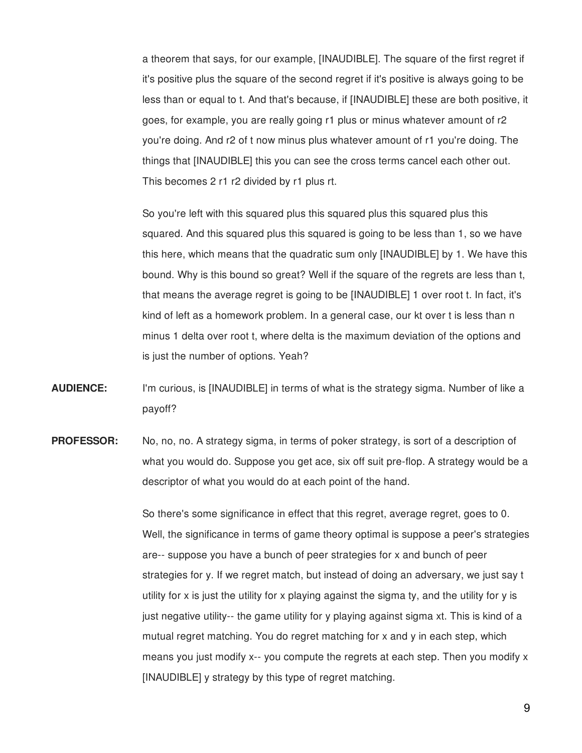a theorem that says, for our example, [INAUDIBLE]. The square of the first regret if it's positive plus the square of the second regret if it's positive is always going to be less than or equal to t. And that's because, if [INAUDIBLE] these are both positive, it goes, for example, you are really going r1 plus or minus whatever amount of r2 you're doing. And r2 of t now minus plus whatever amount of r1 you're doing. The things that [INAUDIBLE] this you can see the cross terms cancel each other out. This becomes 2 r1 r2 divided by r1 plus rt.

So you're left with this squared plus this squared plus this squared plus this squared. And this squared plus this squared is going to be less than 1, so we have this here, which means that the quadratic sum only [INAUDIBLE] by 1. We have this bound. Why is this bound so great? Well if the square of the regrets are less than t, that means the average regret is going to be [INAUDIBLE] 1 over root t. In fact, it's kind of left as a homework problem. In a general case, our kt over t is less than n minus 1 delta over root t, where delta is the maximum deviation of the options and is just the number of options. Yeah?

- **AUDIENCE:** I'm curious, is [INAUDIBLE] in terms of what is the strategy sigma. Number of like a payoff?
- **PROFESSOR:** No, no, no. A strategy sigma, in terms of poker strategy, is sort of a description of what you would do. Suppose you get ace, six off suit pre-flop. A strategy would be a descriptor of what you would do at each point of the hand.

So there's some significance in effect that this regret, average regret, goes to 0. Well, the significance in terms of game theory optimal is suppose a peer's strategies are-- suppose you have a bunch of peer strategies for x and bunch of peer strategies for y. If we regret match, but instead of doing an adversary, we just say t utility for x is just the utility for x playing against the sigma ty, and the utility for y is just negative utility-- the game utility for y playing against sigma xt. This is kind of a mutual regret matching. You do regret matching for x and y in each step, which means you just modify x-- you compute the regrets at each step. Then you modify x [INAUDIBLE] y strategy by this type of regret matching.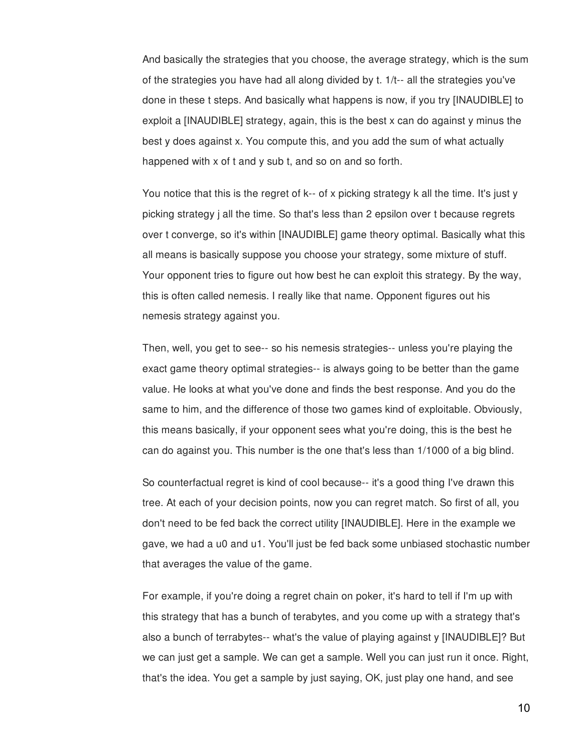And basically the strategies that you choose, the average strategy, which is the sum of the strategies you have had all along divided by t. 1/t-- all the strategies you've done in these t steps. And basically what happens is now, if you try [INAUDIBLE] to exploit a [INAUDIBLE] strategy, again, this is the best x can do against y minus the best y does against x. You compute this, and you add the sum of what actually happened with x of t and y sub t, and so on and so forth.

You notice that this is the regret of k-- of x picking strategy k all the time. It's just y picking strategy j all the time. So that's less than 2 epsilon over t because regrets over t converge, so it's within [INAUDIBLE] game theory optimal. Basically what this all means is basically suppose you choose your strategy, some mixture of stuff. Your opponent tries to figure out how best he can exploit this strategy. By the way, this is often called nemesis. I really like that name. Opponent figures out his nemesis strategy against you.

Then, well, you get to see-- so his nemesis strategies-- unless you're playing the exact game theory optimal strategies-- is always going to be better than the game value. He looks at what you've done and finds the best response. And you do the same to him, and the difference of those two games kind of exploitable. Obviously, this means basically, if your opponent sees what you're doing, this is the best he can do against you. This number is the one that's less than 1/1000 of a big blind.

So counterfactual regret is kind of cool because-- it's a good thing I've drawn this tree. At each of your decision points, now you can regret match. So first of all, you don't need to be fed back the correct utility [INAUDIBLE]. Here in the example we gave, we had a u0 and u1. You'll just be fed back some unbiased stochastic number that averages the value of the game.

For example, if you're doing a regret chain on poker, it's hard to tell if I'm up with this strategy that has a bunch of terabytes, and you come up with a strategy that's also a bunch of terrabytes-- what's the value of playing against y [INAUDIBLE]? But we can just get a sample. We can get a sample. Well you can just run it once. Right, that's the idea. You get a sample by just saying, OK, just play one hand, and see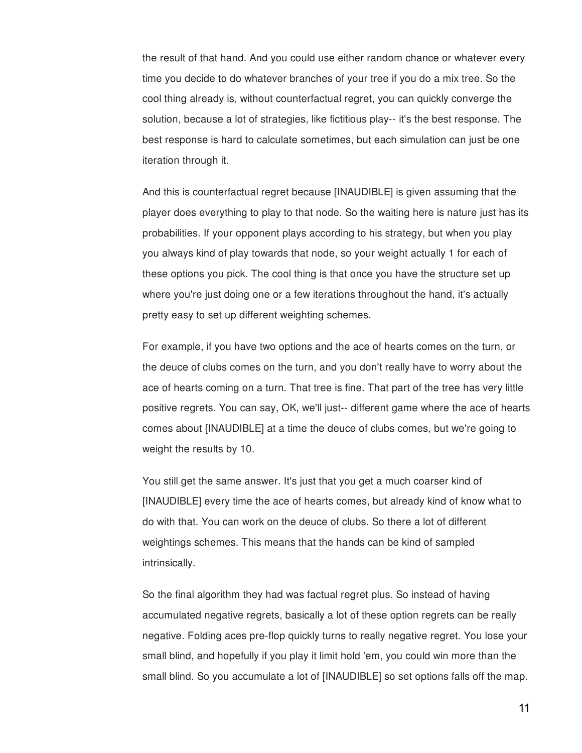the result of that hand. And you could use either random chance or whatever every time you decide to do whatever branches of your tree if you do a mix tree. So the cool thing already is, without counterfactual regret, you can quickly converge the solution, because a lot of strategies, like fictitious play-- it's the best response. The best response is hard to calculate sometimes, but each simulation can just be one iteration through it.

And this is counterfactual regret because [INAUDIBLE] is given assuming that the player does everything to play to that node. So the waiting here is nature just has its probabilities. If your opponent plays according to his strategy, but when you play you always kind of play towards that node, so your weight actually 1 for each of these options you pick. The cool thing is that once you have the structure set up where you're just doing one or a few iterations throughout the hand, it's actually pretty easy to set up different weighting schemes.

For example, if you have two options and the ace of hearts comes on the turn, or the deuce of clubs comes on the turn, and you don't really have to worry about the ace of hearts coming on a turn. That tree is fine. That part of the tree has very little positive regrets. You can say, OK, we'll just-- different game where the ace of hearts comes about [INAUDIBLE] at a time the deuce of clubs comes, but we're going to weight the results by 10.

You still get the same answer. It's just that you get a much coarser kind of [INAUDIBLE] every time the ace of hearts comes, but already kind of know what to do with that. You can work on the deuce of clubs. So there a lot of different weightings schemes. This means that the hands can be kind of sampled intrinsically.

So the final algorithm they had was factual regret plus. So instead of having accumulated negative regrets, basically a lot of these option regrets can be really negative. Folding aces pre-flop quickly turns to really negative regret. You lose your small blind, and hopefully if you play it limit hold 'em, you could win more than the small blind. So you accumulate a lot of [INAUDIBLE] so set options falls off the map.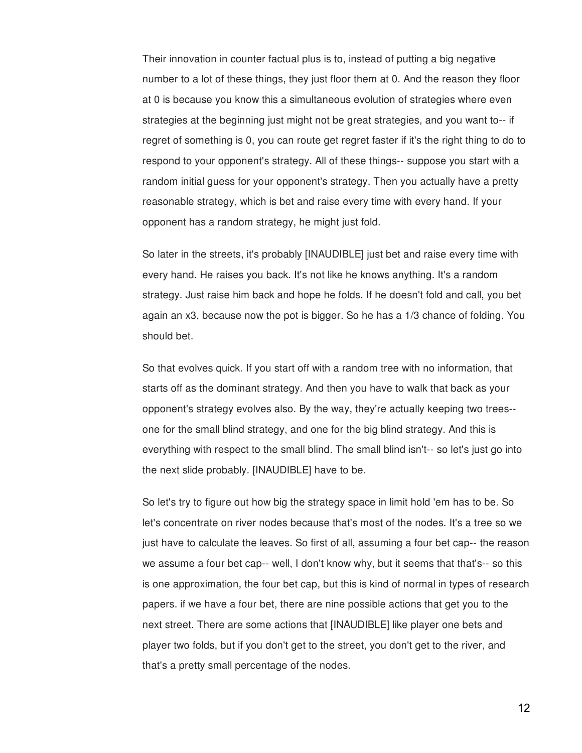Their innovation in counter factual plus is to, instead of putting a big negative number to a lot of these things, they just floor them at 0. And the reason they floor at 0 is because you know this a simultaneous evolution of strategies where even strategies at the beginning just might not be great strategies, and you want to-- if regret of something is 0, you can route get regret faster if it's the right thing to do to respond to your opponent's strategy. All of these things-- suppose you start with a random initial guess for your opponent's strategy. Then you actually have a pretty reasonable strategy, which is bet and raise every time with every hand. If your opponent has a random strategy, he might just fold.

So later in the streets, it's probably [INAUDIBLE] just bet and raise every time with every hand. He raises you back. It's not like he knows anything. It's a random strategy. Just raise him back and hope he folds. If he doesn't fold and call, you bet again an x3, because now the pot is bigger. So he has a 1/3 chance of folding. You should bet.

So that evolves quick. If you start off with a random tree with no information, that starts off as the dominant strategy. And then you have to walk that back as your opponent's strategy evolves also. By the way, they're actually keeping two trees- one for the small blind strategy, and one for the big blind strategy. And this is everything with respect to the small blind. The small blind isn't-- so let's just go into the next slide probably. [INAUDIBLE] have to be.

So let's try to figure out how big the strategy space in limit hold 'em has to be. So let's concentrate on river nodes because that's most of the nodes. It's a tree so we just have to calculate the leaves. So first of all, assuming a four bet cap-- the reason we assume a four bet cap-- well, I don't know why, but it seems that that's-- so this is one approximation, the four bet cap, but this is kind of normal in types of research papers. if we have a four bet, there are nine possible actions that get you to the next street. There are some actions that [INAUDIBLE] like player one bets and player two folds, but if you don't get to the street, you don't get to the river, and that's a pretty small percentage of the nodes.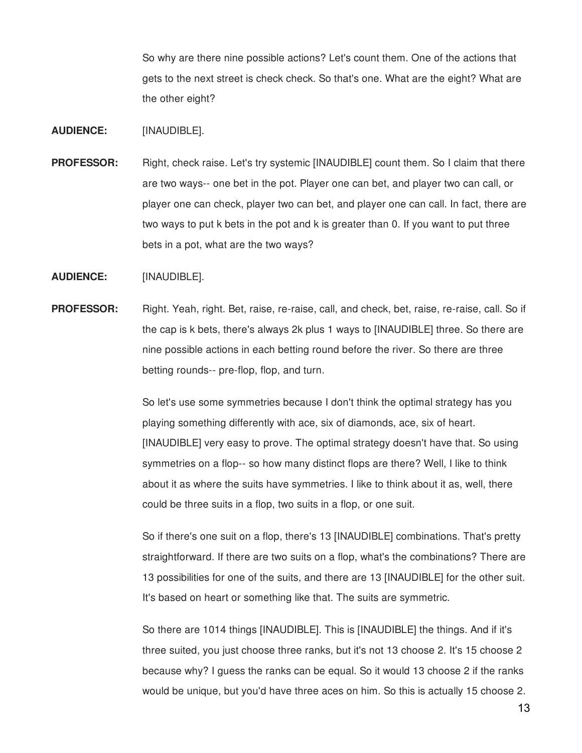So why are there nine possible actions? Let's count them. One of the actions that gets to the next street is check check. So that's one. What are the eight? What are the other eight?

- **AUDIENCE:** [INAUDIBLE].
- **PROFESSOR:** Right, check raise. Let's try systemic [INAUDIBLE] count them. So I claim that there are two ways-- one bet in the pot. Player one can bet, and player two can call, or player one can check, player two can bet, and player one can call. In fact, there are two ways to put k bets in the pot and k is greater than 0. If you want to put three bets in a pot, what are the two ways?
- **AUDIENCE:** [INAUDIBLE].
- **PROFESSOR:** Right. Yeah, right. Bet, raise, re-raise, call, and check, bet, raise, re-raise, call. So if the cap is k bets, there's always 2k plus 1 ways to [INAUDIBLE] three. So there are nine possible actions in each betting round before the river. So there are three betting rounds-- pre-flop, flop, and turn.

So let's use some symmetries because I don't think the optimal strategy has you playing something differently with ace, six of diamonds, ace, six of heart. [INAUDIBLE] very easy to prove. The optimal strategy doesn't have that. So using symmetries on a flop-- so how many distinct flops are there? Well, I like to think about it as where the suits have symmetries. I like to think about it as, well, there could be three suits in a flop, two suits in a flop, or one suit.

So if there's one suit on a flop, there's 13 [INAUDIBLE] combinations. That's pretty straightforward. If there are two suits on a flop, what's the combinations? There are 13 possibilities for one of the suits, and there are 13 [INAUDIBLE] for the other suit. It's based on heart or something like that. The suits are symmetric.

So there are 1014 things [INAUDIBLE]. This is [INAUDIBLE] the things. And if it's three suited, you just choose three ranks, but it's not 13 choose 2. It's 15 choose 2 because why? I guess the ranks can be equal. So it would 13 choose 2 if the ranks would be unique, but you'd have three aces on him. So this is actually 15 choose 2.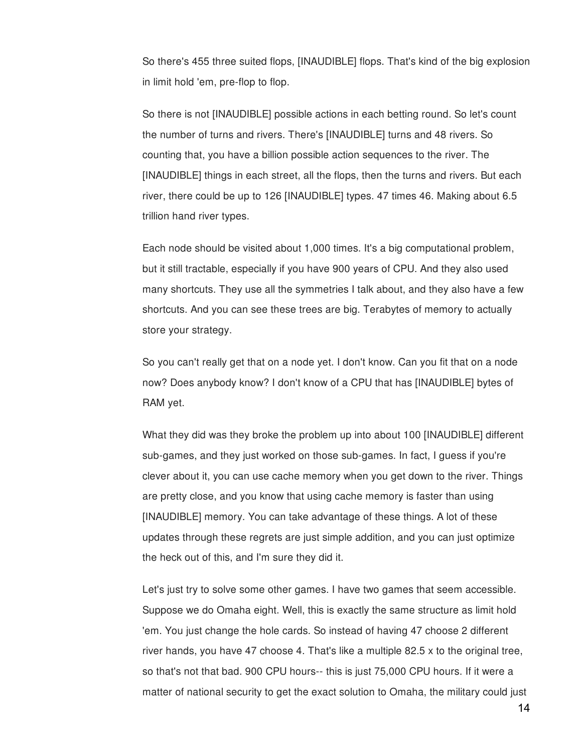So there's 455 three suited flops, [INAUDIBLE] flops. That's kind of the big explosion in limit hold 'em, pre-flop to flop.

So there is not [INAUDIBLE] possible actions in each betting round. So let's count the number of turns and rivers. There's [INAUDIBLE] turns and 48 rivers. So counting that, you have a billion possible action sequences to the river. The [INAUDIBLE] things in each street, all the flops, then the turns and rivers. But each river, there could be up to 126 [INAUDIBLE] types. 47 times 46. Making about 6.5 trillion hand river types.

Each node should be visited about 1,000 times. It's a big computational problem, but it still tractable, especially if you have 900 years of CPU. And they also used many shortcuts. They use all the symmetries I talk about, and they also have a few shortcuts. And you can see these trees are big. Terabytes of memory to actually store your strategy.

So you can't really get that on a node yet. I don't know. Can you fit that on a node now? Does anybody know? I don't know of a CPU that has [INAUDIBLE] bytes of RAM yet.

What they did was they broke the problem up into about 100 [INAUDIBLE] different sub-games, and they just worked on those sub-games. In fact, I guess if you're clever about it, you can use cache memory when you get down to the river. Things are pretty close, and you know that using cache memory is faster than using [INAUDIBLE] memory. You can take advantage of these things. A lot of these updates through these regrets are just simple addition, and you can just optimize the heck out of this, and I'm sure they did it.

Let's just try to solve some other games. I have two games that seem accessible. Suppose we do Omaha eight. Well, this is exactly the same structure as limit hold 'em. You just change the hole cards. So instead of having 47 choose 2 different river hands, you have 47 choose 4. That's like a multiple 82.5 x to the original tree, so that's not that bad. 900 CPU hours-- this is just 75,000 CPU hours. If it were a matter of national security to get the exact solution to Omaha, the military could just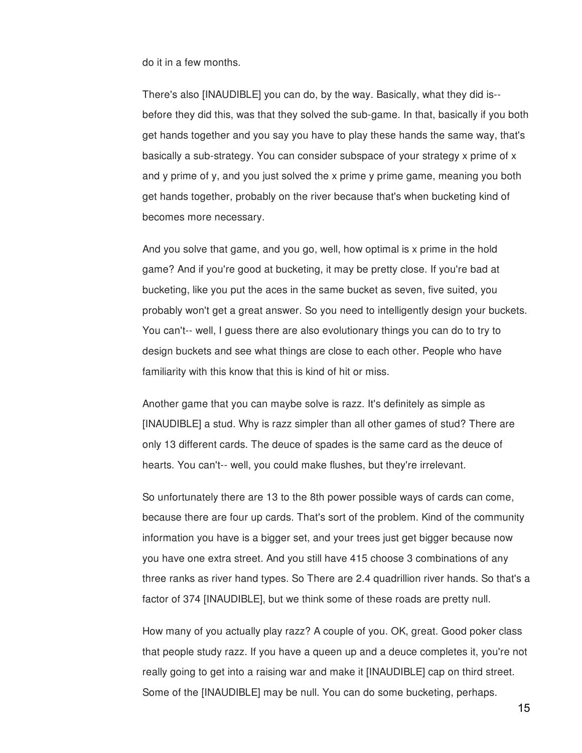do it in a few months.

There's also [INAUDIBLE] you can do, by the way. Basically, what they did is- before they did this, was that they solved the sub-game. In that, basically if you both get hands together and you say you have to play these hands the same way, that's basically a sub-strategy. You can consider subspace of your strategy x prime of x and y prime of y, and you just solved the x prime y prime game, meaning you both get hands together, probably on the river because that's when bucketing kind of becomes more necessary.

And you solve that game, and you go, well, how optimal is x prime in the hold game? And if you're good at bucketing, it may be pretty close. If you're bad at bucketing, like you put the aces in the same bucket as seven, five suited, you probably won't get a great answer. So you need to intelligently design your buckets. You can't-- well, I guess there are also evolutionary things you can do to try to design buckets and see what things are close to each other. People who have familiarity with this know that this is kind of hit or miss.

Another game that you can maybe solve is razz. It's definitely as simple as [INAUDIBLE] a stud. Why is razz simpler than all other games of stud? There are only 13 different cards. The deuce of spades is the same card as the deuce of hearts. You can't-- well, you could make flushes, but they're irrelevant.

So unfortunately there are 13 to the 8th power possible ways of cards can come, because there are four up cards. That's sort of the problem. Kind of the community information you have is a bigger set, and your trees just get bigger because now you have one extra street. And you still have 415 choose 3 combinations of any three ranks as river hand types. So There are 2.4 quadrillion river hands. So that's a factor of 374 [INAUDIBLE], but we think some of these roads are pretty null.

How many of you actually play razz? A couple of you. OK, great. Good poker class that people study razz. If you have a queen up and a deuce completes it, you're not really going to get into a raising war and make it [INAUDIBLE] cap on third street. Some of the [INAUDIBLE] may be null. You can do some bucketing, perhaps.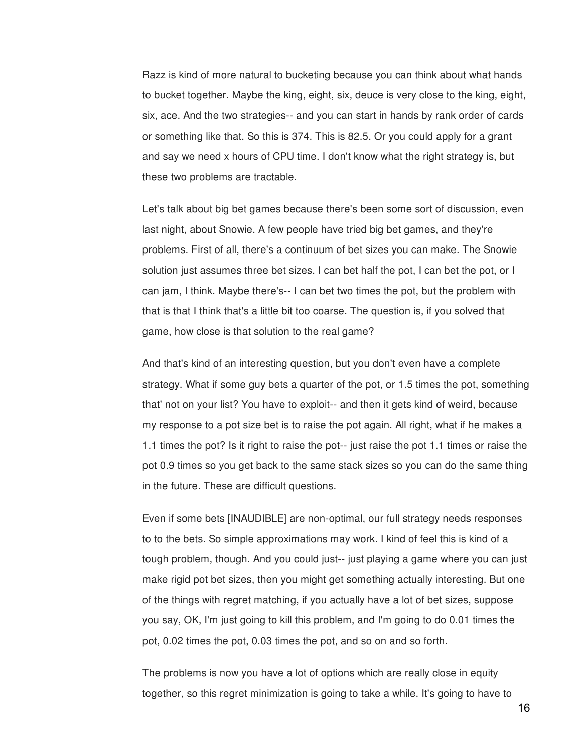Razz is kind of more natural to bucketing because you can think about what hands to bucket together. Maybe the king, eight, six, deuce is very close to the king, eight, six, ace. And the two strategies-- and you can start in hands by rank order of cards or something like that. So this is 374. This is 82.5. Or you could apply for a grant and say we need x hours of CPU time. I don't know what the right strategy is, but these two problems are tractable.

Let's talk about big bet games because there's been some sort of discussion, even last night, about Snowie. A few people have tried big bet games, and they're problems. First of all, there's a continuum of bet sizes you can make. The Snowie solution just assumes three bet sizes. I can bet half the pot, I can bet the pot, or I can jam, I think. Maybe there's-- I can bet two times the pot, but the problem with that is that I think that's a little bit too coarse. The question is, if you solved that game, how close is that solution to the real game?

And that's kind of an interesting question, but you don't even have a complete strategy. What if some guy bets a quarter of the pot, or 1.5 times the pot, something that' not on your list? You have to exploit-- and then it gets kind of weird, because my response to a pot size bet is to raise the pot again. All right, what if he makes a 1.1 times the pot? Is it right to raise the pot-- just raise the pot 1.1 times or raise the pot 0.9 times so you get back to the same stack sizes so you can do the same thing in the future. These are difficult questions.

Even if some bets [INAUDIBLE] are non-optimal, our full strategy needs responses to to the bets. So simple approximations may work. I kind of feel this is kind of a tough problem, though. And you could just-- just playing a game where you can just make rigid pot bet sizes, then you might get something actually interesting. But one of the things with regret matching, if you actually have a lot of bet sizes, suppose you say, OK, I'm just going to kill this problem, and I'm going to do 0.01 times the pot, 0.02 times the pot, 0.03 times the pot, and so on and so forth.

The problems is now you have a lot of options which are really close in equity together, so this regret minimization is going to take a while. It's going to have to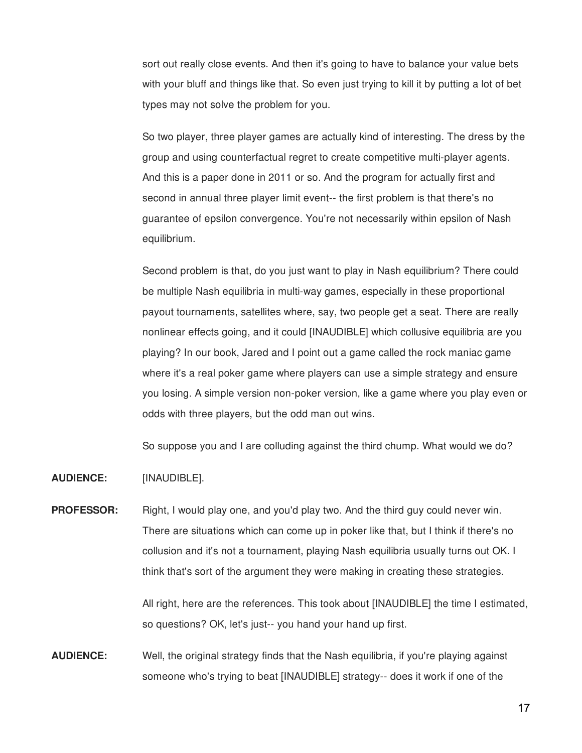sort out really close events. And then it's going to have to balance your value bets with your bluff and things like that. So even just trying to kill it by putting a lot of bet types may not solve the problem for you.

So two player, three player games are actually kind of interesting. The dress by the group and using counterfactual regret to create competitive multi-player agents. And this is a paper done in 2011 or so. And the program for actually first and second in annual three player limit event-- the first problem is that there's no guarantee of epsilon convergence. You're not necessarily within epsilon of Nash equilibrium.

Second problem is that, do you just want to play in Nash equilibrium? There could be multiple Nash equilibria in multi-way games, especially in these proportional payout tournaments, satellites where, say, two people get a seat. There are really nonlinear effects going, and it could [INAUDIBLE] which collusive equilibria are you playing? In our book, Jared and I point out a game called the rock maniac game where it's a real poker game where players can use a simple strategy and ensure you losing. A simple version non-poker version, like a game where you play even or odds with three players, but the odd man out wins.

So suppose you and I are colluding against the third chump. What would we do?

**AUDIENCE:** [INAUDIBLE].

**PROFESSOR:** Right, I would play one, and you'd play two. And the third guy could never win. There are situations which can come up in poker like that, but I think if there's no collusion and it's not a tournament, playing Nash equilibria usually turns out OK. I think that's sort of the argument they were making in creating these strategies.

> All right, here are the references. This took about [INAUDIBLE] the time I estimated, so questions? OK, let's just-- you hand your hand up first.

**AUDIENCE:** Well, the original strategy finds that the Nash equilibria, if you're playing against someone who's trying to beat [INAUDIBLE] strategy-- does it work if one of the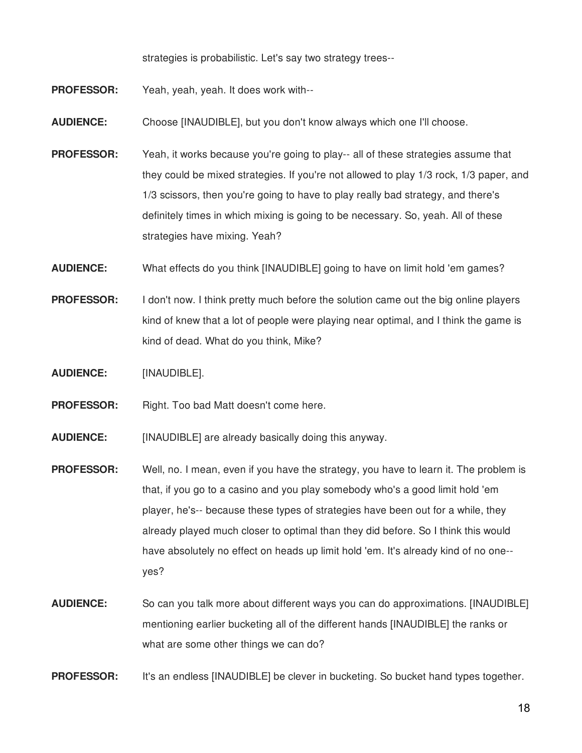strategies is probabilistic. Let's say two strategy trees--

- **PROFESSOR:** Yeah, yeah, yeah. It does work with--
- **AUDIENCE:** Choose [INAUDIBLE], but you don't know always which one I'll choose.
- **PROFESSOR:** Yeah, it works because you're going to play-- all of these strategies assume that they could be mixed strategies. If you're not allowed to play 1/3 rock, 1/3 paper, and 1/3 scissors, then you're going to have to play really bad strategy, and there's definitely times in which mixing is going to be necessary. So, yeah. All of these strategies have mixing. Yeah?
- **AUDIENCE:** What effects do you think [INAUDIBLE] going to have on limit hold 'em games?
- **PROFESSOR:** I don't now. I think pretty much before the solution came out the big online players kind of knew that a lot of people were playing near optimal, and I think the game is kind of dead. What do you think, Mike?
- **AUDIENCE:** [INAUDIBLE].
- **PROFESSOR:** Right. Too bad Matt doesn't come here.
- **AUDIENCE:** [INAUDIBLE] are already basically doing this anyway.
- **PROFESSOR:** Well, no. I mean, even if you have the strategy, you have to learn it. The problem is that, if you go to a casino and you play somebody who's a good limit hold 'em player, he's-- because these types of strategies have been out for a while, they already played much closer to optimal than they did before. So I think this would have absolutely no effect on heads up limit hold 'em. It's already kind of no one- yes?
- **AUDIENCE:** So can you talk more about different ways you can do approximations. [INAUDIBLE] mentioning earlier bucketing all of the different hands [INAUDIBLE] the ranks or what are some other things we can do?
- **PROFESSOR:** It's an endless [INAUDIBLE] be clever in bucketing. So bucket hand types together.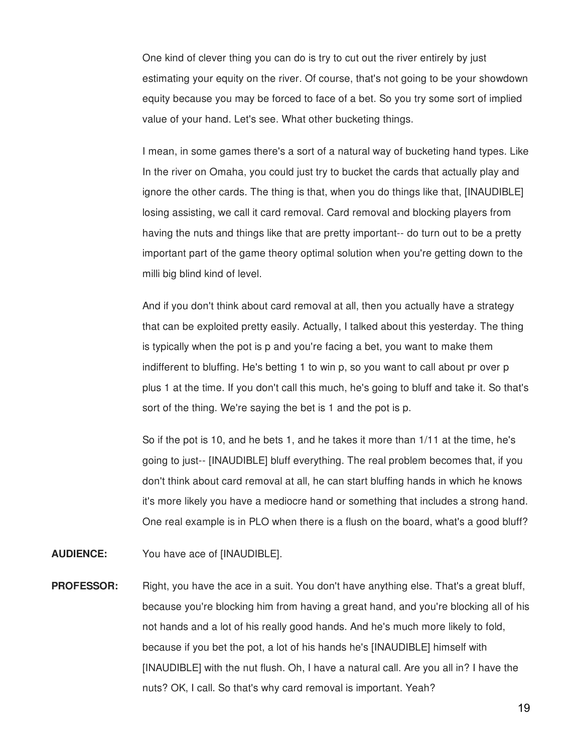One kind of clever thing you can do is try to cut out the river entirely by just estimating your equity on the river. Of course, that's not going to be your showdown equity because you may be forced to face of a bet. So you try some sort of implied value of your hand. Let's see. What other bucketing things.

I mean, in some games there's a sort of a natural way of bucketing hand types. Like In the river on Omaha, you could just try to bucket the cards that actually play and ignore the other cards. The thing is that, when you do things like that, [INAUDIBLE] losing assisting, we call it card removal. Card removal and blocking players from having the nuts and things like that are pretty important-- do turn out to be a pretty important part of the game theory optimal solution when you're getting down to the milli big blind kind of level.

And if you don't think about card removal at all, then you actually have a strategy that can be exploited pretty easily. Actually, I talked about this yesterday. The thing is typically when the pot is p and you're facing a bet, you want to make them indifferent to bluffing. He's betting 1 to win p, so you want to call about pr over p plus 1 at the time. If you don't call this much, he's going to bluff and take it. So that's sort of the thing. We're saying the bet is 1 and the pot is p.

So if the pot is 10, and he bets 1, and he takes it more than 1/11 at the time, he's going to just-- [INAUDIBLE] bluff everything. The real problem becomes that, if you don't think about card removal at all, he can start bluffing hands in which he knows it's more likely you have a mediocre hand or something that includes a strong hand. One real example is in PLO when there is a flush on the board, what's a good bluff?

- **AUDIENCE:** You have ace of [INAUDIBLE].
- **PROFESSOR:** Right, you have the ace in a suit. You don't have anything else. That's a great bluff, because you're blocking him from having a great hand, and you're blocking all of his not hands and a lot of his really good hands. And he's much more likely to fold, because if you bet the pot, a lot of his hands he's [INAUDIBLE] himself with [INAUDIBLE] with the nut flush. Oh, I have a natural call. Are you all in? I have the nuts? OK, I call. So that's why card removal is important. Yeah?

19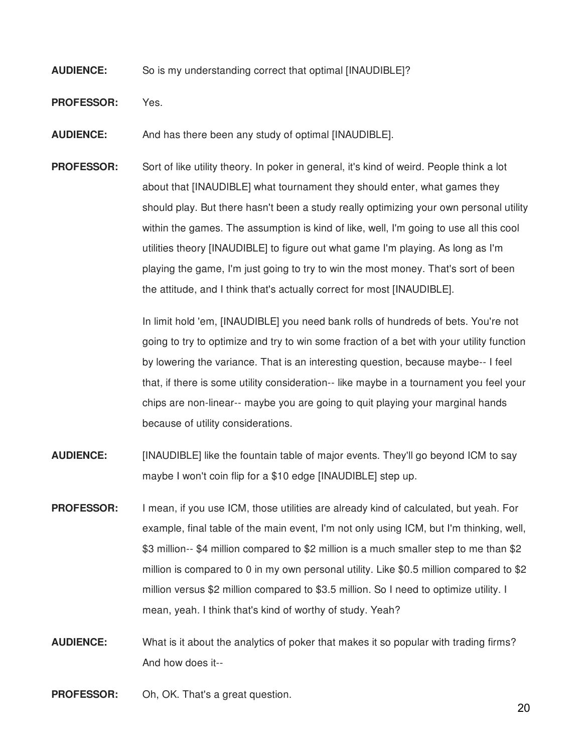## **AUDIENCE:** So is my understanding correct that optimal [INAUDIBLE]?

**PROFESSOR:** Yes.

**AUDIENCE:** And has there been any study of optimal [INAUDIBLE].

**PROFESSOR:** Sort of like utility theory. In poker in general, it's kind of weird. People think a lot about that [INAUDIBLE] what tournament they should enter, what games they should play. But there hasn't been a study really optimizing your own personal utility within the games. The assumption is kind of like, well, I'm going to use all this cool utilities theory [INAUDIBLE] to figure out what game I'm playing. As long as I'm playing the game, I'm just going to try to win the most money. That's sort of been the attitude, and I think that's actually correct for most [INAUDIBLE].

> In limit hold 'em, [INAUDIBLE] you need bank rolls of hundreds of bets. You're not going to try to optimize and try to win some fraction of a bet with your utility function by lowering the variance. That is an interesting question, because maybe-- I feel that, if there is some utility consideration-- like maybe in a tournament you feel your chips are non-linear-- maybe you are going to quit playing your marginal hands because of utility considerations.

- **AUDIENCE:** [INAUDIBLE] like the fountain table of major events. They'll go beyond ICM to say maybe I won't coin flip for a \$10 edge [INAUDIBLE] step up.
- **PROFESSOR:** I mean, if you use ICM, those utilities are already kind of calculated, but yeah. For example, final table of the main event, I'm not only using ICM, but I'm thinking, well, \$3 million-- \$4 million compared to \$2 million is a much smaller step to me than \$2 million is compared to 0 in my own personal utility. Like \$0.5 million compared to \$2 million versus \$2 million compared to \$3.5 million. So I need to optimize utility. I mean, yeah. I think that's kind of worthy of study. Yeah?
- **AUDIENCE:** What is it about the analytics of poker that makes it so popular with trading firms? And how does it--

**PROFESSOR:** Oh, OK. That's a great question.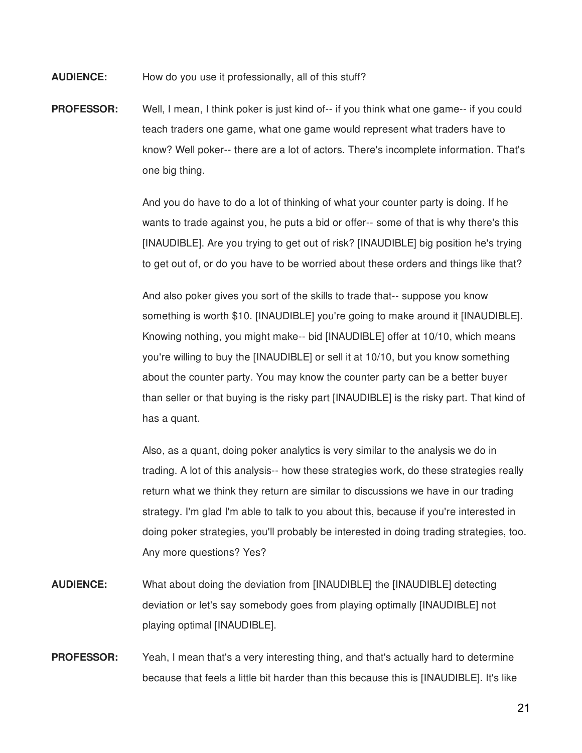**AUDIENCE:** How do you use it professionally, all of this stuff?

**PROFESSOR:** Well, I mean, I think poker is just kind of-- if you think what one game-- if you could teach traders one game, what one game would represent what traders have to know? Well poker-- there are a lot of actors. There's incomplete information. That's one big thing.

> And you do have to do a lot of thinking of what your counter party is doing. If he wants to trade against you, he puts a bid or offer-- some of that is why there's this [INAUDIBLE]. Are you trying to get out of risk? [INAUDIBLE] big position he's trying to get out of, or do you have to be worried about these orders and things like that?

> And also poker gives you sort of the skills to trade that-- suppose you know something is worth \$10. [INAUDIBLE] you're going to make around it [INAUDIBLE]. Knowing nothing, you might make-- bid [INAUDIBLE] offer at 10/10, which means you're willing to buy the [INAUDIBLE] or sell it at 10/10, but you know something about the counter party. You may know the counter party can be a better buyer than seller or that buying is the risky part [INAUDIBLE] is the risky part. That kind of has a quant.

> Also, as a quant, doing poker analytics is very similar to the analysis we do in trading. A lot of this analysis-- how these strategies work, do these strategies really return what we think they return are similar to discussions we have in our trading strategy. I'm glad I'm able to talk to you about this, because if you're interested in doing poker strategies, you'll probably be interested in doing trading strategies, too. Any more questions? Yes?

- **AUDIENCE:** What about doing the deviation from [INAUDIBLE] the [INAUDIBLE] detecting deviation or let's say somebody goes from playing optimally [INAUDIBLE] not playing optimal [INAUDIBLE].
- **PROFESSOR:** Yeah, I mean that's a very interesting thing, and that's actually hard to determine because that feels a little bit harder than this because this is [INAUDIBLE]. It's like